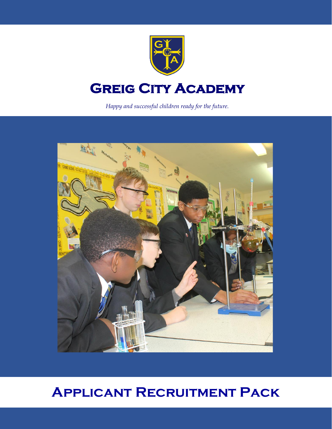

# **GREIG CITY ACADEMY**

*Happy and successful children ready for the future.*



# **Applicant Recruitment Pack**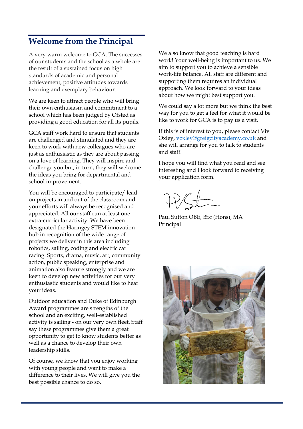## **Welcome from the Principal**

A very warm welcome to GCA. The successes of our students and the school as a whole are the result of a sustained focus on high standards of academic and personal achievement, positive attitudes towards learning and exemplary behaviour.

We are keen to attract people who will bring their own enthusiasm and commitment to a school which has been judged by Ofsted as providing a good education for all its pupils.

GCA staff work hard to ensure that students are challenged and stimulated and they are keen to work with new colleagues who are just as enthusiastic as they are about passing on a love of learning. They will inspire and challenge you but, in turn, they will welcome the ideas you bring for departmental and school improvement.

You will be encouraged to participate/ lead on projects in and out of the classroom and your efforts will always be recognised and appreciated. All our staff run at least one extra-curricular activity. We have been designated the Haringey STEM innovation hub in recognition of the wide range of projects we deliver in this area including robotics, sailing, coding and electric car racing. Sports, drama, music, art, community action, public speaking, enterprise and animation also feature strongly and we are keen to develop new activities for our very enthusiastic students and would like to hear your ideas.

Outdoor education and Duke of Edinburgh Award programmes are strengths of the school and an exciting, well-established activity is sailing - on our very own fleet. Staff say these programmes give them a great opportunity to get to know students better as well as a chance to develop their own leadership skills.

Of course, we know that you enjoy working with young people and want to make a difference to their lives. We will give you the best possible chance to do so.

We also know that good teaching is hard work! Your well-being is important to us. We aim to support you to achieve a sensible work-life balance. All staff are different and supporting them requires an individual approach. We look forward to your ideas about how we might best support you.

We could say a lot more but we think the best way for you to get a feel for what it would be like to work for GCA is to pay us a visit.

If this is of interest to you, please contact Viv Oxley, voxley@greigcityacademy.co.uk and she will arrange for you to talk to students and staff.

I hope you will find what you read and see interesting and I look forward to receiving your application form.

Paul Sutton OBE, BSc (Hons), MA Principal

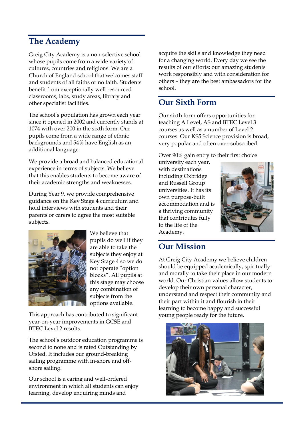### **The Academy**

Greig City Academy is a non-selective school whose pupils come from a wide variety of cultures, countries and religions. We are a Church of England school that welcomes staff and students of all faiths or no faith. Students benefit from exceptionally well resourced classrooms, labs, study areas, library and other specialist facilities.

The school's population has grown each year since it opened in 2002 and currently stands at 1074 with over 200 in the sixth form. Our pupils come from a wide range of ethnic backgrounds and 54% have English as an additional language.

We provide a broad and balanced educational experience in terms of subjects. We believe that this enables students to become aware of their academic strengths and weaknesses.

During Year 9, we provide comprehensive guidance on the Key Stage 4 curriculum and hold interviews with students and their parents or carers to agree the most suitable subjects.



We believe that pupils do well if they are able to take the subjects they enjoy at Key Stage 4 so we do not operate "option blocks". All pupils at this stage may choose any combination of subjects from the options available.

This approach has contributed to significant year-on-year improvements in GCSE and BTEC Level 2 results.

The school's outdoor education programme is second to none and is rated Outstanding by Ofsted. It includes our ground-breaking sailing programme with in-shore and offshore sailing.

Our school is a caring and well-ordered environment in which all students can enjoy learning, develop enquiring minds and

acquire the skills and knowledge they need for a changing world. Every day we see the results of our efforts; our amazing students work responsibly and with consideration for others – they are the best ambassadors for the school.

### **Our Sixth Form**

Our sixth form offers opportunities for teaching A Level, AS and BTEC Level 3 courses as well as a number of Level 2 courses. Our KS5 Science provision is broad, very popular and often over-subscribed.

Over 90% gain entry to their first choice

university each year, with destinations including Oxbridge and Russell Group universities. It has its own purpose-built accommodation and is a thriving community that contributes fully to the life of the Academy.



## **Our Mission**

At Greig City Academy we believe children should be equipped academically, spiritually and morally to take their place in our modern world. Our Christian values allow students to develop their own personal character, understand and respect their community and their part within it and flourish in their learning to become happy and successful young people ready for the future.

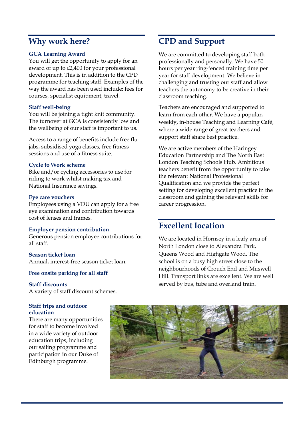### **Why work here?**

#### **GCA Learning Award**

You will get the opportunity to apply for an award of up to £2,400 for your professional development. This is in addition to the CPD programme for teaching staff. Examples of the way the award has been used include: fees for courses, specialist equipment, travel.

#### **Staff well-being**

You will be joining a tight knit community. The turnover at GCA is consistently low and the wellbeing of our staff is important to us.

Access to a range of benefits include free flu jabs, subsidised yoga classes, free fitness sessions and use of a fitness suite.

#### **Cycle to Work scheme**

Bike and/or cycling accessories to use for riding to work whilst making tax and National Insurance savings.

#### **Eye care vouchers**

Employees using a VDU can apply for a free eye examination and contribution towards cost of lenses and frames.

#### **Employer pension contribution**

Generous pension employee contributions for all staff.

#### **Season ticket loan**

Annual, interest-free season ticket loan.

#### **Free onsite parking for all staff**

#### **Staff discounts**

A variety of staff discount schemes.

#### **Staff trips and outdoor education**

There are many opportunities for staff to become involved in a wide variety of outdoor education trips, including our sailing programme and participation in our Duke of Edinburgh programme.

# **CPD and Support**

We are committed to developing staff both professionally and personally. We have 50 hours per year ring-fenced training time per year for staff development. We believe in challenging and trusting our staff and allow teachers the autonomy to be creative in their classroom teaching.

Teachers are encouraged and supported to learn from each other. We have a popular, weekly, in-house Teaching and Learning Café, where a wide range of great teachers and support staff share best practice.

We are active members of the Haringey Education Partnership and The North East London Teaching Schools Hub. Ambitious teachers benefit from the opportunity to take the relevant National Professional Qualification and we provide the perfect setting for developing excellent practice in the classroom and gaining the relevant skills for career progression.

### **Excellent location**

We are located in Hornsey in a leafy area of North London close to Alexandra Park, Queens Wood and Highgate Wood. The school is on a busy high street close to the neighbourhoods of Crouch End and Muswell Hill. Transport links are excellent. We are well served by bus, tube and overland train.

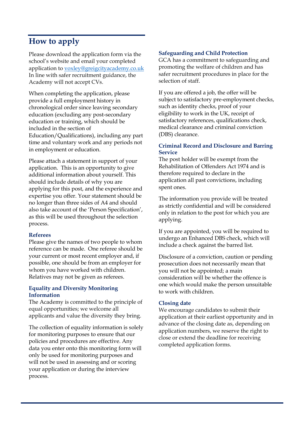# **How to apply**

Please download the application form via the school's website and email your completed application to voxley@greigcityacademy.co.uk In line with safer recruitment guidance, the Academy will not accept CVs.

When completing the application, please provide a full employment history in chronological order since leaving secondary education (excluding any post-secondary education or training, which should be included in the section of Education/Qualifications), including any part time and voluntary work and any periods not in employment or education.

Please attach a statement in support of your application. This is an opportunity to give additional information about yourself. This should include details of why you are applying for this post, and the experience and expertise you offer. Your statement should be no longer than three sides of A4 and should also take account of the 'Person Specification', as this will be used throughout the selection process.

#### **Referees**

Please give the names of two people to whom reference can be made. One referee should be your current or most recent employer and, if possible, one should be from an employer for whom you have worked with children. Relatives may not be given as referees.

#### **Equality and Diversity Monitoring Information**

The Academy is committed to the principle of equal opportunities; we welcome all applicants and value the diversity they bring.

The collection of equality information is solely for monitoring purposes to ensure that our policies and procedures are effective. Any data you enter onto this monitoring form will only be used for monitoring purposes and will not be used in assessing and or scoring your application or during the interview process.

#### **Safeguarding and Child Protection**

GCA has a commitment to safeguarding and promoting the welfare of children and has safer recruitment procedures in place for the selection of staff.

If you are offered a job, the offer will be subject to satisfactory pre-employment checks, such as identity checks, proof of your eligibility to work in the UK, receipt of satisfactory references, qualifications check, medical clearance and criminal conviction (DBS) clearance.

#### **Criminal Record and Disclosure and Barring Service**

The post holder will be exempt from the Rehabilitation of Offenders Act 1974 and is therefore required to declare in the application all past convictions, including spent ones.

The information you provide will be treated as strictly confidential and will be considered only in relation to the post for which you are applying.

If you are appointed, you will be required to undergo an Enhanced DBS check, which will include a check against the barred list.

Disclosure of a conviction, caution or pending prosecution does not necessarily mean that you will not be appointed; a main consideration will be whether the offence is one which would make the person unsuitable to work with children.

#### **Closing date**

We encourage candidates to submit their application at their earliest opportunity and in advance of the closing date as, depending on application numbers, we reserve the right to close or extend the deadline for receiving completed application forms.